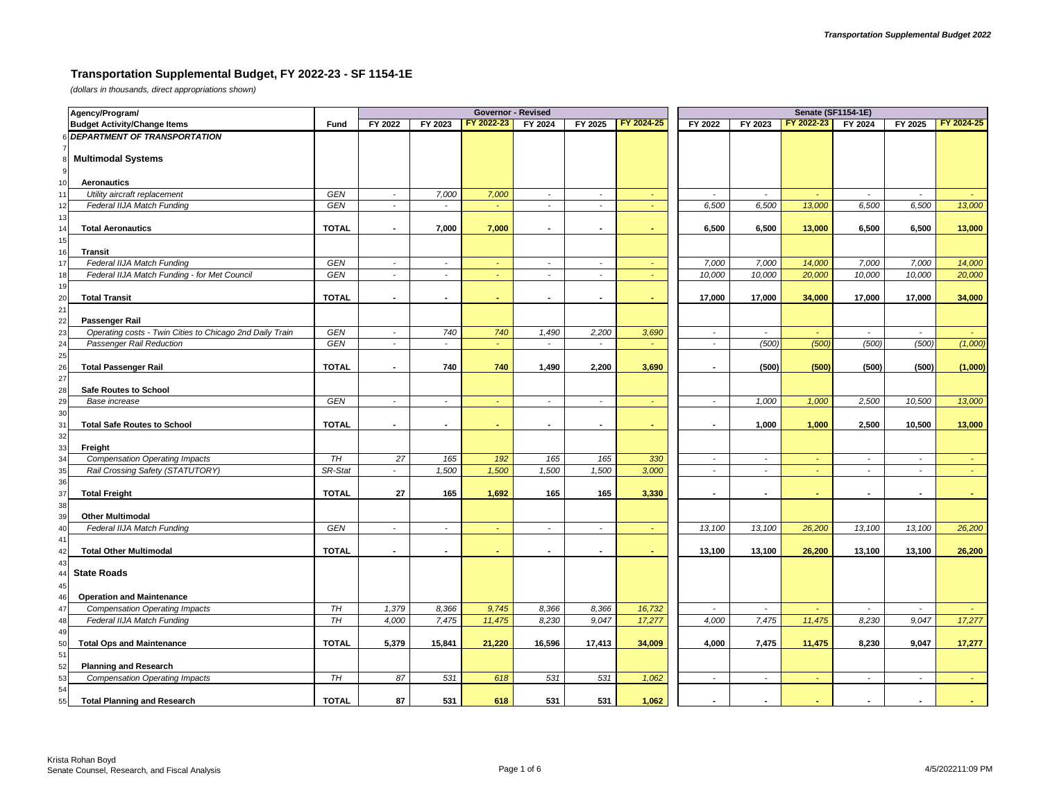## **Transportation Supplemental Budget, FY 2022-23 - SF 1154-1E**

*(dollars in thousands, direct appropriations shown)*

|          | Agency/Program/                                          |              |                             |                             | <b>Governor - Revised</b> |                          |                |            | <b>Senate (SF1154-1E)</b> |                          |                |                          |                             |            |  |
|----------|----------------------------------------------------------|--------------|-----------------------------|-----------------------------|---------------------------|--------------------------|----------------|------------|---------------------------|--------------------------|----------------|--------------------------|-----------------------------|------------|--|
|          | <b>Budget Activity/Change Items</b>                      | Fund         | FY 2022                     | FY 2023                     | FY 2022-23                | FY 2024                  | FY 2025        | FY 2024-25 | FY 2022                   | FY 2023                  | FY 2022-23     | FY 2024                  | FY 2025                     | FY 2024-25 |  |
|          | <b>DEPARTMENT OF TRANSPORTATION</b>                      |              |                             |                             |                           |                          |                |            |                           |                          |                |                          |                             |            |  |
|          |                                                          |              |                             |                             |                           |                          |                |            |                           |                          |                |                          |                             |            |  |
|          | <b>Multimodal Systems</b>                                |              |                             |                             |                           |                          |                |            |                           |                          |                |                          |                             |            |  |
| 9        |                                                          |              |                             |                             |                           |                          |                |            |                           |                          |                |                          |                             |            |  |
| 10       | <b>Aeronautics</b>                                       |              |                             |                             |                           |                          |                |            |                           |                          |                |                          |                             |            |  |
|          | Utility aircraft replacement                             | <b>GEN</b>   | $\mathbb{Z}^{\mathbb{Z}}$   | 7,000                       | 7,000                     | $\sim$                   | $\sim$         | $\omega$   | $\sim$                    | $\sim$                   | $\sim$         | $\blacksquare$           | $\sim$                      |            |  |
|          | Federal IIJA Match Funding                               | GEN          | $\blacksquare$              | $\sim$                      | $\sim$                    | $\sim$                   | $\sim$         | ÷          | 6,500                     | 6,500                    | 13,000         | 6,500                    | 6,500                       | 13,000     |  |
| 13       |                                                          |              |                             |                             |                           |                          |                |            |                           |                          |                |                          |                             |            |  |
|          | <b>Total Aeronautics</b>                                 | <b>TOTAL</b> | $\sim$                      | 7,000                       | 7,000                     | $\sim$                   |                | ä,         | 6,500                     | 6,500                    | 13,000         | 6,500                    | 6,500                       | 13,000     |  |
| 15       |                                                          |              |                             |                             |                           |                          |                |            |                           |                          |                |                          |                             |            |  |
| 16       | <b>Transit</b>                                           |              |                             |                             |                           |                          |                |            |                           |                          |                |                          |                             |            |  |
| 17       | Federal IIJA Match Funding                               | GEN          | $\mathcal{L}_{\mathcal{A}}$ | $\mathcal{L}_{\mathcal{A}}$ | $\omega_{\rm c}$          | $\sim$                   | $\sim$         | $\omega$   | 7,000                     | 7,000                    | 14,000         | 7,000                    | 7,000                       | 14,000     |  |
| 18       | Federal IIJA Match Funding - for Met Council             | GEN          | $\overline{a}$              | $\sim$                      | ÷.                        | $\sim$                   | $\sim$         | ÷          | 10,000                    | 10,000                   | 20,000         | 10,000                   | 10,000                      | 20,000     |  |
| 19       |                                                          |              |                             |                             |                           |                          |                |            |                           |                          |                |                          |                             |            |  |
| 20       | <b>Total Transit</b>                                     | <b>TOTAL</b> |                             | $\blacksquare$              |                           | $\sim$                   | ÷              |            | 17,000                    | 17,000                   | 34,000         | 17,000                   | 17,000                      | 34,000     |  |
| 21       |                                                          |              |                             |                             |                           |                          |                |            |                           |                          |                |                          |                             |            |  |
| 22       | Passenger Rail                                           |              |                             |                             |                           |                          |                |            |                           |                          |                |                          |                             |            |  |
| 23       | Operating costs - Twin Cities to Chicago 2nd Daily Train | GEN          | $\overline{\phantom{a}}$    | 740                         | 740                       | 1,490                    | 2,200          | 3,690      | $\overline{\phantom{a}}$  | $\overline{\phantom{a}}$ | ÷.             | $\sim$                   | $\sim$                      |            |  |
| 24       | Passenger Rail Reduction                                 | <b>GEN</b>   | $\mathcal{L}$               | $\sim$                      | ÷.                        | $\sim$                   | $\sim$         | ÷          | $\sim$                    | (500)                    | (500)          | (500)                    | (500)                       | (1,000)    |  |
| 25       |                                                          |              |                             |                             |                           |                          |                |            |                           |                          |                |                          |                             |            |  |
| 26       | <b>Total Passenger Rail</b>                              | <b>TOTAL</b> | $\sim$                      | 740                         | 740                       | 1,490                    | 2,200          | 3,690      | $\overline{\phantom{a}}$  | (500)                    | (500)          | (500)                    | (500)                       | (1,000)    |  |
| 27       |                                                          |              |                             |                             |                           |                          |                |            |                           |                          |                |                          |                             |            |  |
| 28       | Safe Routes to School                                    |              |                             |                             |                           |                          |                |            |                           |                          |                |                          |                             |            |  |
| 29       | Base increase                                            | <b>GEN</b>   | $\overline{a}$              | $\sim$                      | $\sim$                    | $\sim$                   | $\sim$         | ÷          | $\sim$                    | 1,000                    | 1,000          | 2,500                    | 10,500                      | 13,000     |  |
| 30       |                                                          |              | $\blacksquare$              |                             |                           |                          |                |            |                           |                          |                |                          |                             |            |  |
| 31       | <b>Total Safe Routes to School</b>                       | <b>TOTAL</b> |                             | $\blacksquare$              | $\sim$                    | $\overline{\phantom{a}}$ | $\blacksquare$ | ٠          | $\blacksquare$            | 1,000                    | 1,000          | 2,500                    | 10,500                      | 13,000     |  |
| 32<br>33 | Freight                                                  |              |                             |                             |                           |                          |                |            |                           |                          |                |                          |                             |            |  |
| 34       | <b>Compensation Operating Impacts</b>                    | TH           | 27                          | 165                         | 192                       | 165                      | 165            | 330        | $\overline{\phantom{a}}$  | $\overline{\phantom{a}}$ | $\blacksquare$ | $\overline{\phantom{a}}$ | $\overline{\phantom{a}}$    |            |  |
| 35       | Rail Crossing Safety (STATUTORY)                         | SR-Stat      | $\sim$                      | 1,500                       | 1,500                     | 1,500                    | 1,500          | 3,000      | $\sim$                    | $\sim$                   | $\sim$         | $\blacksquare$           | $\sim$                      | $\sim$     |  |
| 36       |                                                          |              |                             |                             |                           |                          |                |            |                           |                          |                |                          |                             |            |  |
| 37       | <b>Total Freight</b>                                     | <b>TOTAL</b> | 27                          | 165                         | 1,692                     | 165                      | 165            | 3,330      |                           | $\blacksquare$           |                |                          | $\blacksquare$              |            |  |
| 38       |                                                          |              |                             |                             |                           |                          |                |            |                           |                          |                |                          |                             |            |  |
|          | <b>Other Multimodal</b>                                  |              |                             |                             |                           |                          |                |            |                           |                          |                |                          |                             |            |  |
|          | Federal IIJA Match Funding                               | GEN          | $\blacksquare$              | $\sim$                      | $\omega$                  | $\sim$                   | $\sim$         | ÷          | 13,100                    | 13,100                   | 26,200         | 13,100                   | 13,100                      | 26,200     |  |
|          |                                                          |              |                             |                             |                           |                          |                |            |                           |                          |                |                          |                             |            |  |
|          | <b>Total Other Multimodal</b>                            | <b>TOTAL</b> | $\blacksquare$              | $\blacksquare$              | ٠                         | $\blacksquare$           | $\blacksquare$ | ٠          | 13,100                    | 13,100                   | 26,200         | 13,100                   | 13,100                      | 26,200     |  |
|          |                                                          |              |                             |                             |                           |                          |                |            |                           |                          |                |                          |                             |            |  |
|          | <b>State Roads</b>                                       |              |                             |                             |                           |                          |                |            |                           |                          |                |                          |                             |            |  |
|          |                                                          |              |                             |                             |                           |                          |                |            |                           |                          |                |                          |                             |            |  |
|          | <b>Operation and Maintenance</b>                         |              |                             |                             |                           |                          |                |            |                           |                          |                |                          |                             |            |  |
|          | <b>Compensation Operating Impacts</b>                    | TH           | 1,379                       | 8,366                       | 9,745                     | 8,366                    | 8,366          | 16,732     | $\sim$                    | $\overline{a}$           |                | $\overline{a}$           | $\mathcal{L}_{\mathcal{A}}$ |            |  |
| 48       | Federal IIJA Match Funding                               | TH           | 4,000                       | 7,475                       | 11,475                    | 8,230                    | 9,047          | 17,277     | 4,000                     | 7,475                    | 11,475         | 8,230                    | 9,047                       | 17,277     |  |
| 49       |                                                          |              |                             |                             |                           |                          |                |            |                           |                          |                |                          |                             |            |  |
| 50       | <b>Total Ops and Maintenance</b>                         | <b>TOTAL</b> | 5,379                       | 15,841                      | 21,220                    | 16,596                   | 17,413         | 34,009     | 4,000                     | 7,475                    | 11,475         | 8,230                    | 9,047                       | 17,277     |  |
| 51       |                                                          |              |                             |                             |                           |                          |                |            |                           |                          |                |                          |                             |            |  |
| 52       | <b>Planning and Research</b>                             |              |                             |                             |                           |                          |                |            |                           |                          |                |                          |                             |            |  |
| 53       | <b>Compensation Operating Impacts</b>                    | TH           | 87                          | 531                         | 618                       | 531                      | 531            | 1,062      | $\overline{\phantom{a}}$  | $\tilde{\phantom{a}}$    | $\sim$         | $\overline{\phantom{a}}$ | $\sim$                      | $\sim$     |  |
| 54       |                                                          |              |                             |                             |                           |                          |                |            |                           |                          |                |                          |                             |            |  |
| 55       | <b>Total Planning and Research</b>                       | <b>TOTAL</b> | 87                          | 531                         | 618                       | 531                      | 531            | 1.062      |                           |                          |                |                          |                             |            |  |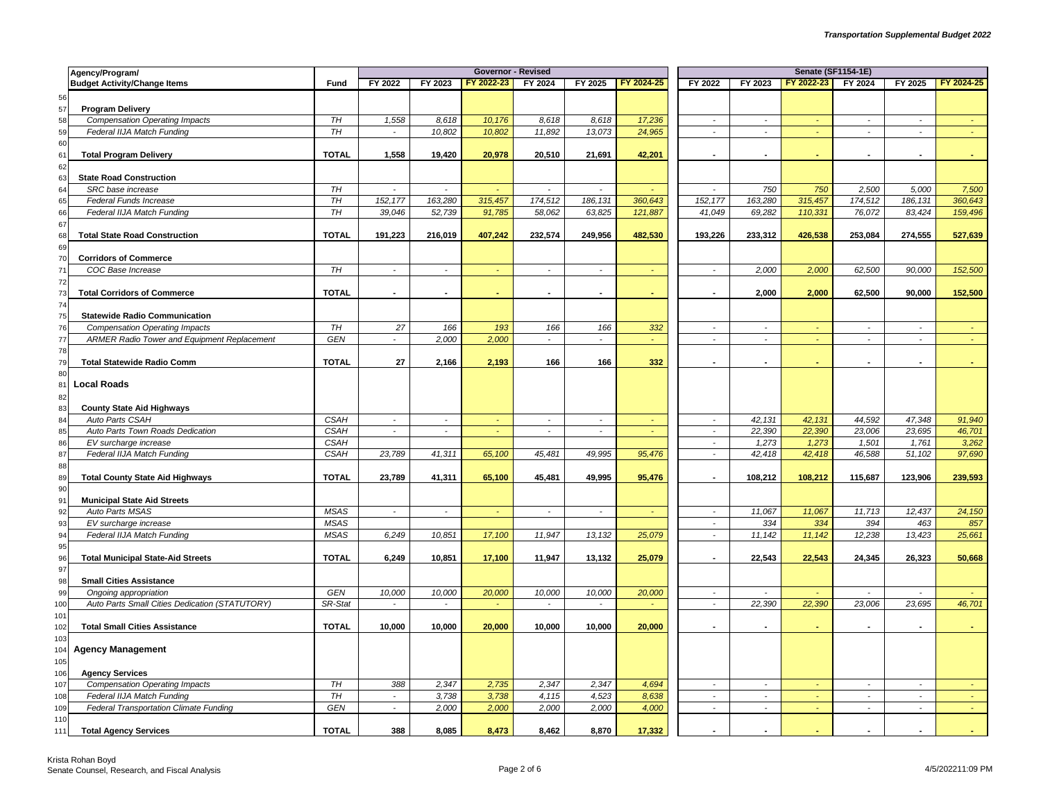|            | Agency/Program/                                                 |              |                             |                | <b>Governor - Revised</b> |                          |                             |               |                             | <b>Senate (SF1154-1E)</b> |            |                |                |            |
|------------|-----------------------------------------------------------------|--------------|-----------------------------|----------------|---------------------------|--------------------------|-----------------------------|---------------|-----------------------------|---------------------------|------------|----------------|----------------|------------|
|            | <b>Budget Activity/Change Items</b>                             | Fund         | FY 2022                     | FY 2023        | FY 2022-23                | FY 2024                  | FY 2025                     | FY 2024-25    | FY 2022                     | FY 2023                   | FY 2022-23 | FY 2024        | FY 2025        | FY 2024-25 |
| 56         |                                                                 |              |                             |                |                           |                          |                             |               |                             |                           |            |                |                |            |
| 57         | <b>Program Delivery</b>                                         |              |                             |                |                           |                          |                             |               |                             |                           |            |                |                |            |
| 58         | <b>Compensation Operating Impacts</b>                           | TH           | 1,558                       | 8,618          | 10,176                    | 8,618                    | 8,618                       | 17,236        | $\overline{\phantom{a}}$    | $\sim$                    |            | $\sim$         | $\sim$         |            |
| 59         | Federal IIJA Match Funding                                      | <b>TH</b>    | $\tilde{\phantom{a}}$       | 10,802         | 10,802                    | 11,892                   | 13,073                      | 24,965        | $\blacksquare$              | $\overline{a}$            |            | $\blacksquare$ | $\mathcal{L}$  |            |
| 60         |                                                                 |              |                             |                |                           |                          |                             |               |                             |                           |            |                |                |            |
| 61         | <b>Total Program Delivery</b>                                   | <b>TOTAL</b> | 1,558                       | 19,420         | 20,978                    | 20,510                   | 21,691                      | 42,201        | $\blacksquare$              |                           |            |                |                |            |
| 62         |                                                                 |              |                             |                |                           |                          |                             |               |                             |                           |            |                |                |            |
| 63         | <b>State Road Construction</b>                                  |              |                             |                |                           |                          |                             |               |                             |                           |            |                |                |            |
| 64         | SRC base increase                                               | TH           | $\mathcal{L}_{\mathcal{A}}$ | $\sim$         | ÷                         | $\mathcal{L}$            | $\mathbb{L}$                |               | $\mathbf{r}$                | 750                       | 750        | 2,500          | 5,000          | 7,500      |
| 65         | Federal Funds Increase                                          | TH           | 152, 177                    | 163,280        | 315,457                   | 174,512                  | 186, 131                    | 360,643       | 152,177                     | 163,280                   | 315,457    | 174,512        | 186, 131       | 360,643    |
| 66         | Federal IIJA Match Funding                                      | TH           | 39,046                      | 52,739         | 91,785                    | 58,062                   | 63,825                      | 121,887       | 41,049                      | 69,282                    | 110,331    | 76,072         | 83,424         | 159,496    |
| 67         |                                                                 |              |                             |                |                           |                          |                             |               |                             |                           |            |                |                |            |
| 68         | <b>Total State Road Construction</b>                            | <b>TOTAL</b> | 191,223                     | 216,019        | 407,242                   | 232,574                  | 249,956                     | 482,530       | 193,226                     | 233,312                   | 426,538    | 253,084        | 274,555        | 527,639    |
| 69         |                                                                 |              |                             |                |                           |                          |                             |               |                             |                           |            |                |                |            |
| 70         | <b>Corridors of Commerce</b>                                    |              |                             |                |                           |                          |                             |               |                             |                           |            |                |                |            |
| 71         | COC Base Increase                                               | TH           | $\sim$                      | $\sim$         | ÷.                        | $\tilde{\phantom{a}}$    | $\sim$                      |               | $\blacksquare$              | 2,000                     | 2,000      | 62,500         | 90,000         | 152,500    |
| 72         |                                                                 |              |                             |                |                           |                          |                             |               |                             |                           |            |                |                |            |
| 73         | <b>Total Corridors of Commerce</b>                              | <b>TOTAL</b> |                             | $\blacksquare$ |                           | $\blacksquare$           |                             | ٠             |                             | 2.000                     | 2,000      | 62,500         | 90,000         | 152,500    |
| 74<br>75   | <b>Statewide Radio Communication</b>                            |              |                             |                |                           |                          |                             |               |                             |                           |            |                |                |            |
| 76         | <b>Compensation Operating Impacts</b>                           | TH           | 27                          | 166            | 193                       | 166                      | 166                         |               | $\overline{\phantom{a}}$    | $\overline{a}$            |            | $\sim$         | $\overline{a}$ |            |
| 77         | <b>ARMER Radio Tower and Equipment Replacement</b>              | GEN          | $\sim$                      | 2,000          | 2,000                     | $\overline{\phantom{a}}$ | $\mathcal{L}_{\mathcal{A}}$ | 332<br>$\sim$ | $\overline{\phantom{a}}$    | $\mathbb{Z}^2$            | $\sim$     | $\sim$         | $\sim$         | $\sim$     |
| 78         |                                                                 |              |                             |                |                           |                          |                             |               |                             |                           |            |                |                |            |
| 79         | <b>Total Statewide Radio Comm</b>                               | <b>TOTAL</b> | 27                          | 2,166          | 2,193                     | 166                      | 166                         | 332           |                             |                           |            |                |                |            |
| 80         |                                                                 |              |                             |                |                           |                          |                             |               |                             |                           |            |                |                |            |
| 81         | <b>Local Roads</b>                                              |              |                             |                |                           |                          |                             |               |                             |                           |            |                |                |            |
| 82         |                                                                 |              |                             |                |                           |                          |                             |               |                             |                           |            |                |                |            |
| 83         | <b>County State Aid Highways</b>                                |              |                             |                |                           |                          |                             |               |                             |                           |            |                |                |            |
| 84         | Auto Parts CSAH                                                 | <b>CSAH</b>  | $\sim$                      | $\bullet$      | $\omega$                  | $\blacksquare$           | $\sim$                      |               | $\bullet$                   | 42,131                    | 42,131     | 44,592         | 47,348         | 91,940     |
| 85         | Auto Parts Town Roads Dedication                                | <b>CSAH</b>  | $\sim$                      | $\sim$         |                           | $\sim$                   | $\overline{\phantom{a}}$    |               | $\blacksquare$              | 22,390                    | 22,390     | 23,006         | 23,695         | 46,701     |
| 86         | EV surcharge increase                                           | <b>CSAH</b>  |                             |                |                           |                          |                             |               | $\mathcal{L}_{\mathcal{A}}$ | 1,273                     | 1,273      | 1,501          | 1,761          | 3,262      |
| 87         | Federal IIJA Match Funding                                      | <b>CSAH</b>  | 23,789                      | 41,311         | 65,100                    | 45,481                   | 49,995                      | 95,476        | $\overline{\phantom{a}}$    | 42,418                    | 42,418     | 46,588         | 51,102         | 97,690     |
| 88         |                                                                 |              |                             |                |                           |                          |                             |               |                             |                           |            |                |                |            |
| 89         | <b>Total County State Aid Highways</b>                          | <b>TOTAL</b> | 23,789                      | 41,311         | 65,100                    | 45,481                   | 49,995                      | 95,476        | $\blacksquare$              | 108,212                   | 108,212    | 115,687        | 123,906        | 239,593    |
| 90         |                                                                 |              |                             |                |                           |                          |                             |               |                             |                           |            |                |                |            |
| 91         | <b>Municipal State Aid Streets</b>                              |              |                             |                |                           |                          |                             |               |                             |                           |            |                |                |            |
| 92         | Auto Parts MSAS                                                 | <b>MSAS</b>  | $\overline{\phantom{a}}$    | $\mathbf{r}$   | ä,                        | $\tilde{\phantom{a}}$    | $\mathbf{r}$                |               | $\overline{\phantom{a}}$    | 11,067                    | 11,067     | 11,713         | 12,437         | 24,150     |
| 93         | EV surcharge increase                                           | <b>MSAS</b>  |                             |                |                           |                          |                             |               | $\blacksquare$              | 334                       | 334        | 394            | 463            | 857        |
| 94         | Federal IIJA Match Funding                                      | <b>MSAS</b>  | 6,249                       | 10,851         | 17,100                    | 11,947                   | 13,132                      | 25,079        | $\sim$                      | 11,142                    | 11,142     | 12,238         | 13,423         | 25,661     |
| 95         |                                                                 |              |                             |                |                           |                          |                             |               |                             |                           |            |                |                |            |
| 96         | <b>Total Municipal State-Aid Streets</b>                        | <b>TOTAL</b> | 6,249                       | 10,851         | 17,100                    | 11,947                   | 13,132                      | 25,079        | $\blacksquare$              | 22,543                    | 22,543     | 24,345         | 26,323         | 50,668     |
| 97         |                                                                 |              |                             |                |                           |                          |                             |               |                             |                           |            |                |                |            |
| 98         | <b>Small Cities Assistance</b>                                  |              |                             |                |                           |                          |                             |               |                             |                           |            |                |                |            |
| 99         | Ongoing appropriation                                           | <b>GEN</b>   | 10,000                      | 10,000         | 20,000                    | 10,000                   | 10,000                      | 20,000        | $\overline{\phantom{a}}$    |                           |            | $\mathbf{r}$   | $\mathcal{L}$  |            |
| 100        | Auto Parts Small Cities Dedication (STATUTORY)                  | SR-Stat      | $\overline{a}$              | $\sim$         | $\sim$                    | $\sim$                   | $\sim$                      | a.            | $\mathcal{L}_{\mathcal{A}}$ | 22,390                    | 22,390     | 23,006         | 23,695         | 46,701     |
| 101        |                                                                 |              |                             |                |                           |                          |                             |               |                             |                           |            |                |                |            |
| 102        | <b>Total Small Cities Assistance</b>                            | <b>TOTAL</b> | 10,000                      | 10,000         | 20,000                    | 10,000                   | 10,000                      | 20,000        | $\blacksquare$              |                           |            |                | $\sim$         |            |
| 103        |                                                                 |              |                             |                |                           |                          |                             |               |                             |                           |            |                |                |            |
| 104        | <b>Agency Management</b>                                        |              |                             |                |                           |                          |                             |               |                             |                           |            |                |                |            |
| 105        |                                                                 |              |                             |                |                           |                          |                             |               |                             |                           |            |                |                |            |
| 106<br>107 | <b>Agency Services</b><br><b>Compensation Operating Impacts</b> | TH           | 388                         | 2,347          | 2,735                     | 2,347                    | 2,347                       | 4.694         | $\sim$                      | $\sim$                    | ÷.         | $\sim$         | $\mathcal{L}$  |            |
| 108        | Federal IIJA Match Funding                                      | TH           | $\sim$                      | 3,738          | 3,738                     | 4,115                    | 4,523                       | 8,638         | $\mathcal{L}_{\mathcal{A}}$ | $\mathcal{L}$             | $\sim$     | $\sim$         | $\mathbb{Z}^+$ | $\sim$     |
| 109        | Federal Transportation Climate Funding                          | GEN          | $\sim$                      | 2,000          | 2,000                     | 2,000                    | 2,000                       | 4,000         | $\overline{a}$              | $\sim$                    | a.         | $\sim$         | $\sim$         | G.         |
| 110        |                                                                 |              |                             |                |                           |                          |                             |               |                             |                           |            |                |                |            |
| 111        | <b>Total Agency Services</b>                                    | <b>TOTAL</b> | 388                         | 8,085          | 8.473                     | 8,462                    | 8,870                       | 17,332        |                             |                           |            |                |                |            |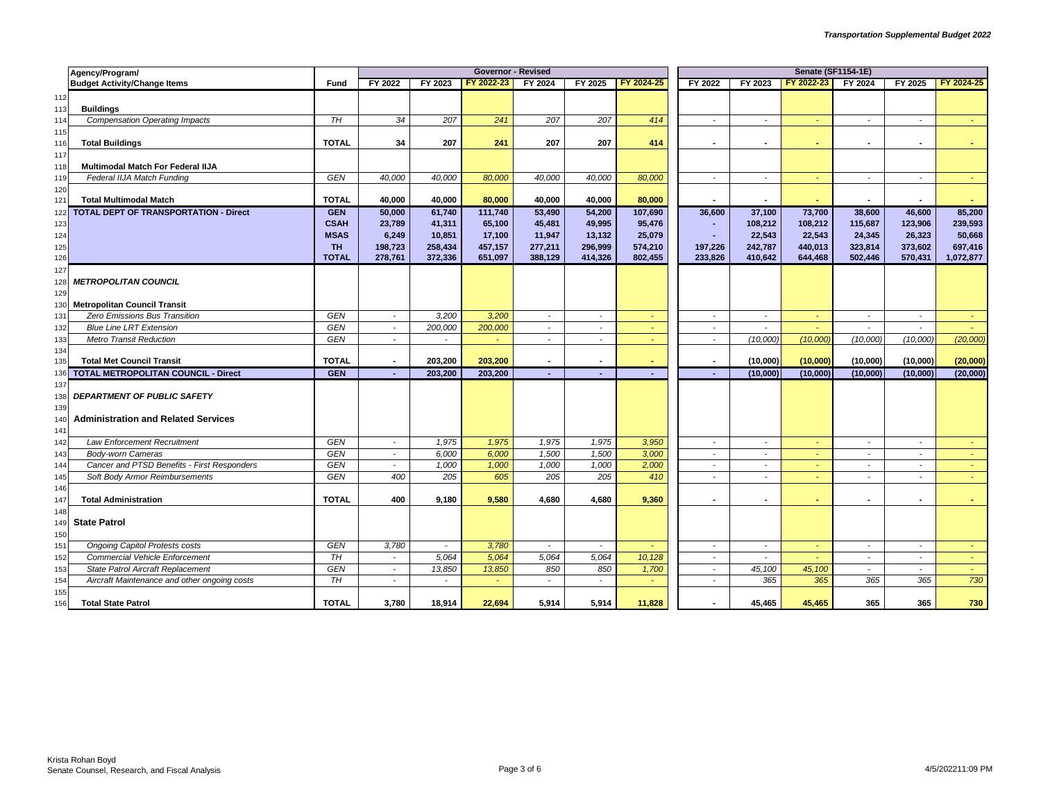|            | Agency/Program/                                                                |                            |                |                          | <b>Governor - Revised</b> |                          |                          |            | <b>Senate (SF1154-1E)</b> |                          |                      |                      |                      |                      |  |
|------------|--------------------------------------------------------------------------------|----------------------------|----------------|--------------------------|---------------------------|--------------------------|--------------------------|------------|---------------------------|--------------------------|----------------------|----------------------|----------------------|----------------------|--|
|            | <b>Budget Activity/Change Items</b>                                            | Fund                       | FY 2022        | FY 2023                  | FY 2022-23                | FY 2024                  | FY 2025                  | FY 2024-25 | FY 2022                   | FY 2023                  | FY 2022-23           | FY 2024              | FY 2025              | FY 2024-25           |  |
| 112        |                                                                                |                            |                |                          |                           |                          |                          |            |                           |                          |                      |                      |                      |                      |  |
| 113        | <b>Buildings</b>                                                               |                            |                |                          |                           |                          |                          |            |                           |                          |                      |                      |                      |                      |  |
| 114        | <b>Compensation Operating Impacts</b>                                          | TH                         | 34             | 207                      | 241                       | 207                      | 207                      | 414        | $\sim$                    | $\sim$                   | $\sim$               | $\sim$               | $\sim$               | $\sim$               |  |
| 115        |                                                                                |                            |                |                          |                           |                          |                          |            |                           |                          |                      |                      |                      |                      |  |
| 116        | <b>Total Buildings</b>                                                         | <b>TOTAL</b>               | 34             | 207                      | 241                       | 207                      | 207                      | 414        |                           |                          |                      |                      |                      |                      |  |
| 117        |                                                                                |                            |                |                          |                           |                          |                          |            |                           |                          |                      |                      |                      |                      |  |
| 118        | Multimodal Match For Federal IIJA                                              |                            |                |                          |                           |                          |                          |            |                           |                          |                      |                      |                      |                      |  |
| 119        | Federal IIJA Match Funding                                                     | <b>GEN</b>                 | 40,000         | 40,000                   | 80,000                    | 40,000                   | 40,000                   | 80,000     | $\sim$                    | $\overline{\phantom{a}}$ | $\sim$               | $\sim$               | $\sim$               | $\sim$               |  |
| 120        |                                                                                |                            |                |                          |                           |                          |                          |            |                           |                          |                      |                      |                      |                      |  |
| 121        | <b>Total Multimodal Match</b>                                                  | <b>TOTAL</b>               | 40,000         | 40,000                   | 80,000                    | 40,000                   | 40,000                   | 80,000     |                           |                          |                      |                      | $\blacksquare$       |                      |  |
| 122        | TOTAL DEPT OF TRANSPORTATION - Direct                                          | <b>GEN</b>                 | 50,000         | 61,740                   | 111,740                   | 53,490                   | 54,200                   | 107,690    | 36,600                    | 37,100                   | 73,700               | 38,600               | 46,600               | 85,200               |  |
| 123        |                                                                                | <b>CSAH</b>                | 23,789         | 41,311                   | 65,100                    | 45,481                   | 49,995                   | 95,476     |                           | 108,212                  | 108,212              | 115,687              | 123,906              | 239,593              |  |
| 124        |                                                                                | <b>MSAS</b>                | 6,249          | 10,851                   | 17,100                    | 11,947                   | 13,132                   | 25,079     | ٠                         | 22,543                   | 22,543               | 24,345               | 26,323               | 50,668               |  |
| 125        |                                                                                | <b>TH</b>                  | 198,723        | 258,434                  | 457,157                   | 277,211                  | 296,999                  | 574,210    | 197,226                   | 242,787                  | 440,013              | 323,814              | 373,602              | 697,416              |  |
| 126        |                                                                                | <b>TOTAL</b>               | 278,761        | 372,336                  | 651,097                   | 388,129                  | 414,326                  | 802,455    | 233,826                   | 410,642                  | 644,468              | 502,446              | 570,431              | 1,072,877            |  |
| 127        |                                                                                |                            |                |                          |                           |                          |                          |            |                           |                          |                      |                      |                      |                      |  |
| 128        | <b>METROPOLITAN COUNCIL</b>                                                    |                            |                |                          |                           |                          |                          |            |                           |                          |                      |                      |                      |                      |  |
| 129        |                                                                                |                            |                |                          |                           |                          |                          |            |                           |                          |                      |                      |                      |                      |  |
| 130        | <b>Metropolitan Council Transit</b>                                            |                            |                |                          |                           |                          |                          |            |                           |                          |                      |                      |                      |                      |  |
| 131        | Zero Emissions Bus Transition                                                  | <b>GEN</b>                 | $\sim$         | 3,200                    | 3,200                     | $\overline{\phantom{a}}$ | $\sim$                   | $\sim$     | $\sim$                    | $\sim$                   | $\sim$               | $\sim$               | $\sim$               | $\sim$               |  |
| 132        | <b>Blue Line LRT Extension</b>                                                 | <b>GEN</b>                 | $\sim$         | 200,000                  | 200,000                   | $\overline{\phantom{a}}$ | $\overline{\phantom{a}}$ |            | $\overline{\phantom{a}}$  | $\sim$                   | $\sim$               | $\sim$               | $\sim$               |                      |  |
| 133        | <b>Metro Transit Reduction</b>                                                 | <b>GEN</b>                 | $\sim$         | $\sim$                   | ÷.                        | $\sim$                   | $\sim$                   |            | $\sim$                    | (10,000)                 | (10,000)             | (10,000)             | (10,000)             | (20,000)             |  |
| 134        |                                                                                |                            |                |                          |                           | $\blacksquare$           |                          |            |                           |                          |                      |                      |                      |                      |  |
| 135<br>136 | <b>Total Met Council Transit</b><br><b>TOTAL METROPOLITAN COUNCIL - Direct</b> | <b>TOTAL</b><br><b>GEN</b> |                | 203,200<br>203,200       | 203,200<br>203,200        |                          |                          | $\sim$     | ٠                         | (10,000)<br>(10,000)     | (10,000)<br>(10,000) | (10,000)<br>(10,000) | (10,000)<br>(10,000) | (20,000)<br>(20,000) |  |
| 137        |                                                                                |                            |                |                          |                           |                          |                          |            |                           |                          |                      |                      |                      |                      |  |
|            | <b>DEPARTMENT OF PUBLIC SAFETY</b>                                             |                            |                |                          |                           |                          |                          |            |                           |                          |                      |                      |                      |                      |  |
| 138<br>139 |                                                                                |                            |                |                          |                           |                          |                          |            |                           |                          |                      |                      |                      |                      |  |
| 140        | <b>Administration and Related Services</b>                                     |                            |                |                          |                           |                          |                          |            |                           |                          |                      |                      |                      |                      |  |
| 141        |                                                                                |                            |                |                          |                           |                          |                          |            |                           |                          |                      |                      |                      |                      |  |
| 142        | Law Enforcement Recruitment                                                    | GEN                        | $\sim$         | 1,975                    | 1,975                     | 1,975                    | 1,975                    | 3,950      | $\overline{\phantom{a}}$  | $\tilde{\phantom{a}}$    |                      | $\sim$               | $\sim$               |                      |  |
| 143        | <b>Body-worn Cameras</b>                                                       | <b>GEN</b>                 | $\sim$         | 6,000                    | 6,000                     | 1,500                    | 1,500                    | 3,000      | $\sim$                    | $\overline{\phantom{a}}$ | $\sim$               | $\sim$               | $\sim$               |                      |  |
| 144        | Cancer and PTSD Benefits - First Responders                                    | <b>GEN</b>                 | $\sim$         | 1,000                    | 1,000                     | 1,000                    | 1,000                    | 2,000      | $\sim$                    | $\sim$                   | $\sim$               | $\sim$               | $\sim$               |                      |  |
| 145        | Soft Body Armor Reimbursements                                                 | <b>GEN</b>                 | 400            | 205                      | 605                       | 205                      | 205                      | 410        | $\sim$                    | $\sim$                   | $\sim$               | $\sim$               | $\sim$               | $\sim$               |  |
| 146        |                                                                                |                            |                |                          |                           |                          |                          |            |                           |                          |                      |                      |                      |                      |  |
| 147        | <b>Total Administration</b>                                                    | <b>TOTAL</b>               | 400            | 9,180                    | 9,580                     | 4,680                    | 4,680                    | 9,360      | $\overline{\phantom{a}}$  |                          |                      |                      | $\blacksquare$       |                      |  |
| 148        |                                                                                |                            |                |                          |                           |                          |                          |            |                           |                          |                      |                      |                      |                      |  |
| 149        | <b>State Patrol</b>                                                            |                            |                |                          |                           |                          |                          |            |                           |                          |                      |                      |                      |                      |  |
| 150        |                                                                                |                            |                |                          |                           |                          |                          |            |                           |                          |                      |                      |                      |                      |  |
| 151        | <b>Ongoing Capitol Protests costs</b>                                          | <b>GEN</b>                 | 3,780          | $\sim$                   | 3,780                     | $\sim$                   | $\sim$                   | $\sim$     | $\sim$                    | $\sim$                   | $\sim$               | $\sim$               | $\sim$               |                      |  |
| 152        | <b>Commercial Vehicle Enforcement</b>                                          | TH                         | $\sim$         | 5,064                    | 5,064                     | 5,064                    | 5,064                    | 10,128     | $\sim$                    | $\sim$                   | $\sim$               | $\sim$               | $\sim$               | $\sim$               |  |
| 153        | State Patrol Aircraft Replacement                                              | <b>GEN</b>                 | $\sim$         | 13,850                   | 13,850                    | 850                      | 850                      | 1,700      | $\sim$                    | 45,100                   | 45,100               | $\sim$               | $\sim$               | $\sim$               |  |
| 154        | Aircraft Maintenance and other ongoing costs                                   | <b>TH</b>                  | $\blacksquare$ | $\overline{\phantom{a}}$ |                           |                          |                          |            |                           | 365                      | 365                  | 365                  | 365                  | 730                  |  |
| 155        |                                                                                |                            |                |                          |                           |                          |                          |            |                           |                          |                      |                      |                      |                      |  |
| 156        | <b>Total State Patrol</b>                                                      | <b>TOTAL</b>               | 3,780          | 18,914                   | 22,694                    | 5,914                    | 5,914                    | 11,828     | $\blacksquare$            | 45,465                   | 45,465               | 365                  | 365                  | 730                  |  |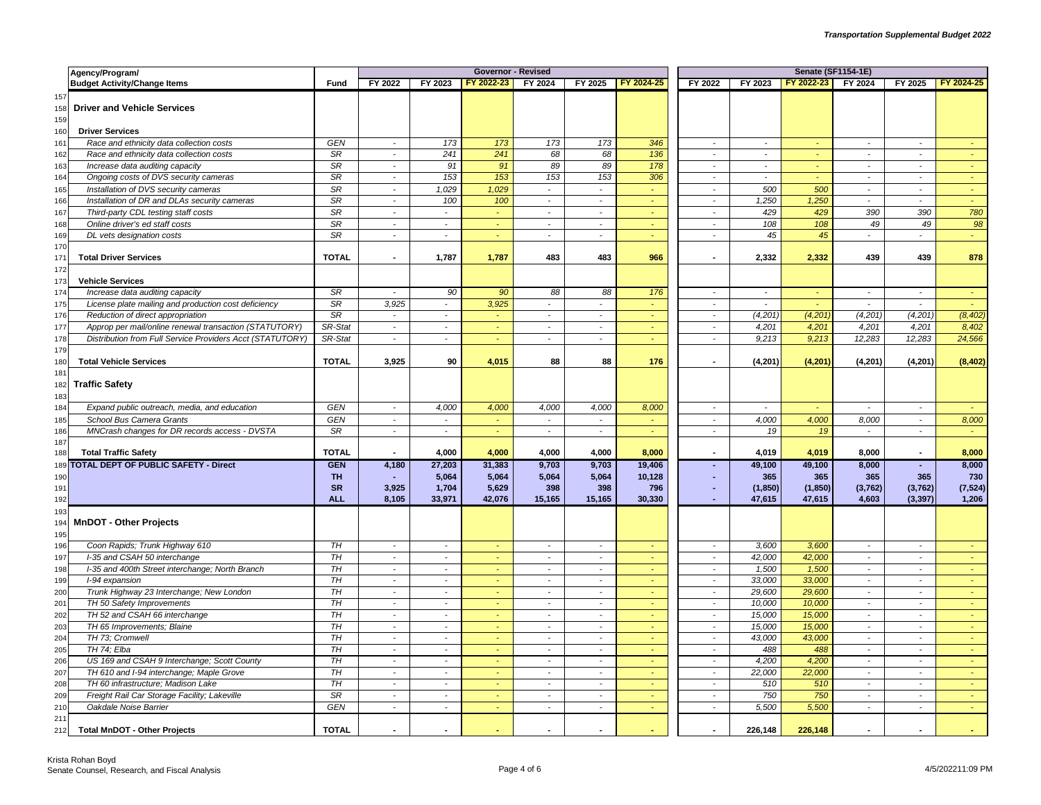|                   | Agency/Program/                                           |                              |                          |                          | <b>Governor - Revised</b> |                                    |                                    |                |                             | <b>Senate (SF1154-1E)</b> |            |                             |                                |            |
|-------------------|-----------------------------------------------------------|------------------------------|--------------------------|--------------------------|---------------------------|------------------------------------|------------------------------------|----------------|-----------------------------|---------------------------|------------|-----------------------------|--------------------------------|------------|
|                   | <b>Budget Activity/Change Items</b>                       | Fund                         | FY 2022                  | FY 2023                  | FY 2022-23                | FY 2024                            | FY 2025                            | FY 2024-25     | FY 2022                     | FY 2023                   | FY 2022-23 | FY 2024                     | FY 2025                        | FY 2024-25 |
| 157<br>158<br>159 | <b>Driver and Vehicle Services</b>                        |                              |                          |                          |                           |                                    |                                    |                |                             |                           |            |                             |                                |            |
| 160               | <b>Driver Services</b>                                    |                              |                          |                          |                           |                                    |                                    |                |                             |                           |            |                             |                                |            |
| 161               | Race and ethnicity data collection costs                  | GEN                          | $\sim$                   | 173                      | 173                       | 173                                | 173                                | 346            | $\overline{\phantom{a}}$    | $\sim$                    | $\sim$     | $\sim$                      | $\sim$                         |            |
| 162               | Race and ethnicity data collection costs                  | SR                           | $\blacksquare$           | 241                      | 241                       | 68                                 | 68                                 | 136            | $\overline{\phantom{a}}$    | $\mathbb{Z}^2$            | ÷          | $\mathcal{L}_{\mathcal{A}}$ | $\overline{a}$                 | $\sim$     |
| 163               | Increase data auditing capacity                           | <b>SR</b>                    | $\sim$                   | 91                       | 91                        | 89                                 | 89                                 | 178            | $\sim$                      | $\sim$                    | $\omega$   | $\sim$                      | $\sim$                         | $\sim$     |
| 164               | Ongoing costs of DVS security cameras                     | $\overline{\text{SR}}$       | $\overline{\phantom{a}}$ | 153                      | 153                       | 153                                | 153                                | 306            | $\overline{\phantom{a}}$    | $\sim$                    | $\omega$   | $\blacksquare$              | $\sim$                         | $\omega$   |
| 165               | Installation of DVS security cameras                      | SR                           | $\sim$                   | 1,029                    | 1,029                     | $\omega$                           | $\omega$                           | $\sim$         | $\sim$                      | 500                       | 500        | $\sim$                      | $\sim$                         | $\sim$     |
| 166               | Installation of DR and DLAs security cameras              | SR                           | $\sim$                   | 100                      | 100                       | $\overline{\phantom{a}}$           | $\overline{\phantom{a}}$           |                | $\overline{\phantom{a}}$    | 1,250                     | 1,250      | $\sim$                      | $\overline{\phantom{a}}$       | $\omega$   |
| 167               | Third-party CDL testing staff costs                       | SR                           | $\overline{a}$           | $\blacksquare$           | $\omega$                  | $\overline{a}$                     | $\overline{a}$                     |                | $\blacksquare$              | 429                       | 429        | 390                         | 390                            | 780        |
| 168               | Online driver's ed staff costs                            | SR                           | $\blacksquare$           | $\overline{\phantom{a}}$ | $\omega$                  | $\overline{\phantom{a}}$           | $\overline{\phantom{a}}$           | $\sim$         | $\blacksquare$              | 108                       | 108        | 49                          | 49                             | 98         |
| 169               | DL vets designation costs                                 | SR                           | $\blacksquare$           | $\sim$                   |                           | $\tilde{\phantom{a}}$              | $\tilde{\phantom{a}}$              |                | $\mathbf{r}$                | 45                        | 45         | $\sim$                      |                                | $\omega$   |
| 170<br>171        | <b>Total Driver Services</b>                              | <b>TOTAL</b>                 | $\sim$                   | 1,787                    | 1,787                     | 483                                | 483                                | 966            | $\blacksquare$              | 2,332                     | 2,332      | 439                         | 439                            | 878        |
| 172<br>173        | <b>Vehicle Services</b>                                   |                              |                          |                          |                           |                                    |                                    |                |                             |                           |            |                             |                                |            |
| 174               | Increase data auditing capacity                           | SR                           | $\overline{\phantom{a}}$ | 90                       | 90                        | 88                                 | 88                                 | 176            | $\tilde{\phantom{a}}$       | $\mathcal{L}$             | $\sim$     | $\mathbb{Z}^2$              | $\sim$                         |            |
| 175               | License plate mailing and production cost deficiency      | <b>SR</b>                    | 3,925                    | $\overline{\phantom{a}}$ | 3,925                     | $\overline{\phantom{a}}$           | $\blacksquare$                     | $\omega$       | $\sim$                      | $\sim$                    | $\omega$   | $\sim$                      | $\sim$                         | $\sim$     |
| 176               | Reduction of direct appropriation                         | SR                           | $\mathbf{r}$             | $\overline{\phantom{a}}$ | ÷,                        | $\overline{\phantom{a}}$           | $\overline{\phantom{a}}$           | $\sim$         | $\mathbf{r}$                | (4, 201)                  | (4, 201)   | (4, 201)                    | (4, 201)                       | (8, 402)   |
| 177               | Approp per mail/online renewal transaction (STATUTORY)    | SR-Stat                      | $\sim$                   | $\blacksquare$           | $\sim$                    | $\sim$                             | $\sim$                             | $\omega$       | $\sim$                      | 4.201                     | 4,201      | 4.201                       | 4.201                          | 8,402      |
| 178               | Distribution from Full Service Providers Acct (STATUTORY) | SR-Stat                      | $\sim$                   | $\overline{\phantom{a}}$ | ÷                         | $\sim$                             | $\overline{\phantom{a}}$           | $\omega$       | $\blacksquare$              | 9,213                     | 9,213      | 12,283                      | 12,283                         | 24,566     |
| 179<br>180        | <b>Total Vehicle Services</b>                             | <b>TOTAL</b>                 | 3,925                    | 90                       | 4,015                     | 88                                 | 88                                 | 176            | $\overline{\phantom{a}}$    | (4, 201)                  | (4,201)    | (4, 201)                    | (4, 201)                       | (8, 402)   |
| 181<br>182<br>183 | <b>Traffic Safety</b>                                     |                              |                          |                          |                           |                                    |                                    |                |                             |                           |            |                             |                                |            |
| 184               | Expand public outreach, media, and education              | GEN                          | $\sim$                   | 4,000                    | 4,000                     | 4,000                              | 4,000                              | 8,000          | $\overline{\phantom{a}}$    | $\sim$                    | $\sim$     | $\sim$                      | $\overline{\phantom{a}}$       | $\omega$   |
| 185               | School Bus Camera Grants                                  | GEN                          | $\overline{\phantom{a}}$ | $\sim$                   | ÷                         | $\mathcal{L}_{\mathcal{A}}$        | $\sim$                             | ч.             | $\mathcal{L}_{\mathcal{A}}$ | 4,000                     | 4,000      | 8,000                       | $\sim$                         | 8,000      |
| 186               | MNCrash changes for DR records access - DVSTA             | SR                           | $\sim$                   | $\sim$                   | ÷                         | $\mathcal{L}$                      | $\sim$                             | ÷.             | $\sim$                      | 19                        | 19         | $\sim$                      | $\sim$                         | i.         |
| 187<br>188        | <b>Total Traffic Safety</b>                               | <b>TOTAL</b>                 |                          | 4,000                    | 4.000                     | 4,000                              | 4,000                              | 8,000          | $\overline{a}$              | 4,019                     | 4,019      | 8,000                       |                                | 8,000      |
| 189               | <b>TOTAL DEPT OF PUBLIC SAFETY - Direct</b>               | <b>GEN</b>                   | 4,180                    | 27,203                   | 31,383                    | 9,703                              | 9,703                              | 19,406         | ٠                           | 49,100                    | 49,100     | 8,000                       | ÷.                             | 8,000      |
| 190               |                                                           | <b>TH</b>                    | $\sim$                   | 5,064                    | 5,064                     | 5,064                              | 5,064                              | 10,128         | $\mathbf{r}$                | 365                       | 365        | 365                         | 365                            | 730        |
| 191               |                                                           | <b>SR</b>                    | 3.925                    | 1,704                    | 5.629                     | 398                                | 398                                | 796            | ٠                           | (1, 850)                  | (1, 850)   | (3,762)                     | (3,762)                        | (7, 524)   |
| 192               |                                                           | <b>ALL</b>                   | 8,105                    | 33,971                   | 42,076                    | 15,165                             | 15,165                             | 30,330         |                             | 47,615                    | 47,615     | 4,603                       | (3, 397)                       | 1,206      |
| 193<br>194<br>195 | <b>MnDOT - Other Projects</b>                             |                              |                          |                          |                           |                                    |                                    |                |                             |                           |            |                             |                                |            |
| 196               | Coon Rapids; Trunk Highway 610                            | TH                           | $\sim$                   | $\overline{\phantom{a}}$ | $\sim$                    | $\sim$                             | $\sim$                             | $\sim$         | $\sim$                      | 3,600                     | 3,600      | $\sim$                      | $\sim$                         | $\sim$     |
| 197               | I-35 and CSAH 50 interchange                              | TH                           | $\overline{\phantom{a}}$ | $\overline{\phantom{a}}$ | ÷                         | $\sim$                             | $\mathbf{r}$                       | ÷.             | $\overline{\phantom{a}}$    | 42,000                    | 42,000     | $\overline{\phantom{a}}$    | $\sim$                         | $\omega$   |
| 198               | I-35 and 400th Street interchange; North Branch           | T H                          | $\sim$                   | $\overline{\phantom{a}}$ | $\omega$                  | $\overline{\phantom{a}}$           | $\overline{\phantom{a}}$           | $\omega$       | $\overline{\phantom{a}}$    | 1,500                     | 1,500      | $\sim$                      | $\sim$                         | $\omega$   |
| 199               | I-94 expansion                                            | TH                           | $\blacksquare$           | $\overline{\phantom{a}}$ | ÷                         | $\overline{\phantom{a}}$           | $\overline{\phantom{a}}$           | ÷.             | $\overline{\phantom{a}}$    | 33,000                    | 33,000     | $\sim$                      | $\sim$                         | $\omega$   |
| 200               | Trunk Highway 23 Interchange; New London                  | T H                          | $\sim$                   | $\sim$                   | ÷                         | $\sim$                             | $\sim$                             | $\omega$       | $\sim$                      | 29,600                    | 29,600     | $\sim$                      | $\sim$                         | $\sim$     |
| 201               | TH 50 Safety Improvements                                 | TH                           | $\blacksquare$           | $\overline{\phantom{a}}$ |                           | $\overline{\phantom{a}}$           | $\tilde{\phantom{a}}$              | $\sim$         | $\overline{\phantom{a}}$    | 10,000                    | 10,000     | $\sim$                      | $\overline{\phantom{a}}$       | $\omega$   |
| 202               | TH 52 and CSAH 66 interchange                             | TH                           | $\overline{a}$           | $\overline{\phantom{a}}$ | ÷                         | $\overline{\phantom{a}}$           | $\sim$                             |                | $\mathcal{L}$               | 15,000                    | 15,000     | $\sim$                      | $\sim$                         | ÷.         |
| 203               | TH 65 Improvements; Blaine                                | TH                           | $\sim$                   | $\overline{\phantom{a}}$ | $\omega$                  | $\overline{\phantom{a}}$           | $\sim$                             | $\sim$         | $\overline{\phantom{a}}$    | 15,000                    | 15,000     | $\sim$                      | $\sim$                         | $\sim$     |
| 204               | TH 73; Cromwell                                           | TH                           | $\sim$                   | $\blacksquare$           | ÷.                        | $\overline{\phantom{a}}$           | $\overline{\phantom{a}}$           | ч.             | $\sim$                      | 43,000                    | 43,000     | $\sim$                      | $\sim$                         | $\omega$   |
| 205               | TH 74: Elba                                               | T H                          | $\overline{\phantom{a}}$ | $\overline{\phantom{a}}$ | ÷                         | $\tilde{\phantom{a}}$              | $\overline{\phantom{a}}$           | $\sim$         | $\sim$                      | 488                       | 488        | $\sim$                      | $\sim$                         | $\sim$     |
| 206               | US 169 and CSAH 9 Interchange; Scott County               | $\overline{TH}$              | $\overline{\phantom{a}}$ | $\overline{\phantom{a}}$ |                           | $\sim$                             | $\overline{\phantom{a}}$           | $\blacksquare$ | $\overline{\phantom{a}}$    | 4,200                     | 4,200      | $\blacksquare$              | $\overline{\phantom{a}}$       | $\omega$   |
| 207               | TH 610 and I-94 interchange; Maple Grove                  | T H                          | $\sim$                   | $\blacksquare$           | in 1                      | $\overline{\phantom{a}}$           | $\sim$                             | $\sim$         | $\overline{\phantom{a}}$    | 22,000                    | 22,000     | $\sim$                      | $\overline{\phantom{a}}$       | $\sim$     |
| 208               | TH 60 infrastructure; Madison Lake                        | TH<br>$\overline{\text{SR}}$ | $\sim$<br>$\sim$         | $\sim$<br>$\sim$         | ä,<br>÷                   | $\sim$<br>$\overline{\phantom{a}}$ | $\overline{\phantom{a}}$<br>$\sim$ |                | $\sim$<br>$\sim$            | 510                       | 510<br>750 | $\sim$<br>$\sim$            | $\sim$<br>$\ddot{\phantom{a}}$ |            |
| 209               | Freight Rail Car Storage Facility; Lakeville              | <b>GEN</b>                   |                          |                          |                           |                                    |                                    | ÷<br>$\sim$    |                             | 750<br>5,500              | 5,500      |                             |                                | $\omega$   |
| 210<br>211        | Oakdale Noise Barrier                                     |                              | $\sim$                   | $\overline{\phantom{a}}$ | $\omega$                  | $\sim$                             | $\sim$                             |                | $\sim$                      |                           |            | $\sim$                      | $\sim$                         | $\sim$     |
| 212               | <b>Total MnDOT - Other Projects</b>                       | <b>TOTAL</b>                 | $\blacksquare$           | $\blacksquare$           |                           |                                    | $\overline{\phantom{a}}$           |                | $\blacksquare$              | 226,148                   | 226,148    |                             |                                |            |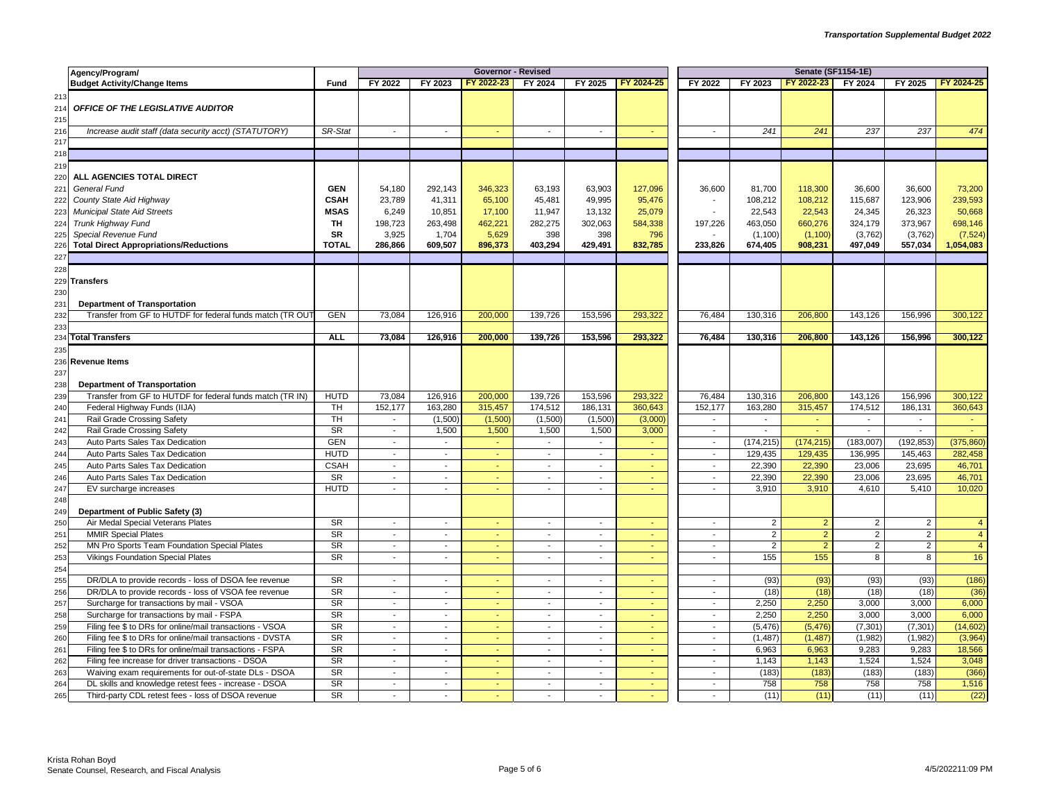|            | Agency/Program/                                           |                        |                          |                             | <b>Governor - Revised</b> |                          |                |            | <b>Senate (SF1154-1E)</b> |                |                |                |                |                |  |
|------------|-----------------------------------------------------------|------------------------|--------------------------|-----------------------------|---------------------------|--------------------------|----------------|------------|---------------------------|----------------|----------------|----------------|----------------|----------------|--|
|            | <b>Budget Activity/Change Items</b>                       | Fund                   | FY 2022                  | FY 2023                     | FY 2022-23                | FY 2024                  | FY 2025        | FY 2024-25 | FY 2022                   | FY 2023        | FY 2022-23     | FY 2024        | FY 2025        | FY 2024-25     |  |
| 213<br>214 | OFFICE OF THE LEGISLATIVE AUDITOR                         |                        |                          |                             |                           |                          |                |            |                           |                |                |                |                |                |  |
| 215        |                                                           | SR-Stat                | $\sim$                   | $\sim$                      | ÷                         | $\sim$                   | $\sim$         |            | $\sim$                    | 241            | 241            | 237            | 237            | 474            |  |
| 216<br>217 | Increase audit staff (data security acct) (STATUTORY)     |                        |                          |                             |                           |                          |                |            |                           |                |                |                |                |                |  |
| 218        |                                                           |                        |                          |                             |                           |                          |                |            |                           |                |                |                |                |                |  |
| 219        |                                                           |                        |                          |                             |                           |                          |                |            |                           |                |                |                |                |                |  |
| 220        | ALL AGENCIES TOTAL DIRECT                                 |                        |                          |                             |                           |                          |                |            |                           |                |                |                |                |                |  |
| 221        | General Fund                                              | <b>GEN</b>             | 54,180                   | 292,143                     | 346,323                   | 63,193                   | 63,903         | 127,096    | 36,600                    | 81,700         | 118,300        | 36,600         | 36,600         | 73,200         |  |
| 222        | County State Aid Highway                                  | <b>CSAH</b>            | 23,789                   | 41,311                      | 65,100                    | 45,481                   | 49,995         | 95,476     |                           | 108,212        | 108,212        | 115,687        | 123,906        | 239,593        |  |
| 223        | <b>Municipal State Aid Streets</b>                        | <b>MSAS</b>            | 6,249                    | 10,851                      | 17,100                    | 11,947                   | 13,132         | 25,079     |                           | 22,543         | 22,543         | 24,345         | 26,323         | 50,668         |  |
| 224        | Trunk Highway Fund                                        | TH                     | 198,723                  | 263,498                     | 462,221                   | 282,275                  | 302,063        | 584,338    | 197,226                   | 463,050        | 660,276        | 324,179        | 373,967        | 698,146        |  |
| 225        | Special Revenue Fund                                      | <b>SR</b>              | 3,925                    | 1,704                       | 5,629                     | 398                      | 398            | 796        |                           | (1, 100)       | (1, 100)       | (3,762)        | (3,762)        | (7, 524)       |  |
| 226        | <b>Total Direct Appropriations/Reductions</b>             | <b>TOTAL</b>           | 286,866                  | 609,507                     | 896,373                   | 403,294                  | 429,491        | 832,785    | 233.826                   | 674,405        | 908,231        | 497,049        | 557,034        | 1,054,083      |  |
| 227        |                                                           |                        |                          |                             |                           |                          |                |            |                           |                |                |                |                |                |  |
| 228        |                                                           |                        |                          |                             |                           |                          |                |            |                           |                |                |                |                |                |  |
|            | 229 Transfers                                             |                        |                          |                             |                           |                          |                |            |                           |                |                |                |                |                |  |
| 230        |                                                           |                        |                          |                             |                           |                          |                |            |                           |                |                |                |                |                |  |
| 231        | <b>Department of Transportation</b>                       |                        |                          |                             |                           |                          |                |            |                           |                |                |                |                |                |  |
| 232        | Transfer from GF to HUTDF for federal funds match (TR OUT | <b>GEN</b>             | 73,084                   | 126,916                     | 200,000                   | 139,726                  | 153,596        | 293,322    | 76,484                    | 130,316        | 206,800        | 143,126        | 156,996        | 300,122        |  |
| 233        |                                                           |                        |                          |                             |                           |                          |                |            |                           |                |                |                |                |                |  |
|            | 234 Total Transfers                                       | <b>ALL</b>             | 73,084                   | 126,916                     | 200,000                   | 139,726                  | 153,596        | 293,322    | 76,484                    | 130,316        | 206,800        | 143,126        | 156,996        | 300,122        |  |
| 235        |                                                           |                        |                          |                             |                           |                          |                |            |                           |                |                |                |                |                |  |
|            | 236 Revenue Items                                         |                        |                          |                             |                           |                          |                |            |                           |                |                |                |                |                |  |
| 237        |                                                           |                        |                          |                             |                           |                          |                |            |                           |                |                |                |                |                |  |
| 238        | <b>Department of Transportation</b>                       |                        |                          |                             |                           |                          |                |            |                           |                |                |                |                |                |  |
| 239        | Transfer from GF to HUTDF for federal funds match (TR IN) | <b>HUTD</b>            | 73,084                   | 126,916                     | 200,000                   | 139,726                  | 153,596        | 293,322    | 76,484                    | 130,316        | 206,800        | 143,126        | 156,996        | 300,122        |  |
| 240        | Federal Highway Funds (IIJA)                              | <b>TH</b>              | 152,177                  | 163,280                     | 315,457                   | 174,512                  | 186,131        | 360,643    | 152,177                   | 163,280        | 315,457        | 174,512        | 186,131        | 360,643        |  |
| 241        | Rail Grade Crossing Safety                                | TH                     | $\sim$                   | (1,500)                     | (1,500)                   | (1,500)                  | (1,500)        | (3,000)    | $\sim$                    | $\sim$         | $\sim$         | $\sim$         | $\sim$         | $\sim$         |  |
| 242        | Rail Grade Crossing Safety                                | <b>SR</b>              | $\sim$                   | 1,500                       | 1,500                     | 1,500                    | 1,500          | 3,000      | $\blacksquare$            | $\sim$         | $\omega$ .     | $\sim$         | $\sim$         |                |  |
| 243        | Auto Parts Sales Tax Dedication                           | <b>GEN</b>             | $\sim$                   | $\mathcal{L}_{\mathcal{A}}$ | $\omega$                  | $\blacksquare$           | $\blacksquare$ |            | $\mathbf{r}$              | (174, 215)     | (174, 215)     | (183,007)      | (192, 853)     | (375, 860)     |  |
| 244        | Auto Parts Sales Tax Dedication                           | <b>HUTD</b>            | $\sim$                   | $\sim$                      | $\sim$                    | $\sim$                   | $\sim$         | ÷          | $\sim$                    | 129,435        | 129,435        | 136,995        | 145,463        | 282,458        |  |
| 245        | Auto Parts Sales Tax Dedication                           | <b>CSAH</b>            | $\sim$                   | $\sim$                      |                           | $\sim$                   | $\sim$         |            | $\sim$                    | 22,390         | 22,390         | 23,006         | 23,695         | 46,701         |  |
| 246        | Auto Parts Sales Tax Dedication                           | <b>SR</b>              | $\sim$                   | $\blacksquare$              | ÷                         | $\overline{\phantom{a}}$ | $\overline{a}$ |            | $\mathbf{r}$              | 22,390         | 22,390         | 23,006         | 23,695         | 46,701         |  |
| 247        | EV surcharge increases                                    | <b>HUTD</b>            | $\sim$                   | $\sim$                      |                           | $\overline{\phantom{a}}$ | $\sim$         |            | $\sim$                    | 3,910          | 3,910          | 4,610          | 5,410          | 10,020         |  |
| 248        |                                                           |                        |                          |                             |                           |                          |                |            |                           |                |                |                |                |                |  |
| 249        | Department of Public Safety (3)                           |                        |                          |                             |                           |                          |                |            |                           |                |                |                |                |                |  |
| 250        | Air Medal Special Veterans Plates                         | <b>SR</b>              | $\sim$                   | $\blacksquare$              |                           | $\blacksquare$           | $\blacksquare$ |            | $\sim$                    | $\overline{2}$ | $\overline{2}$ | $\overline{2}$ | $\overline{2}$ | $\overline{4}$ |  |
| 251        | <b>MMIR Special Plates</b>                                | $\overline{\text{SR}}$ | $\sim$                   | $\sim$                      | $\sim$                    | $\blacksquare$           | $\sim$         | $\sim$     | $\sim$                    | $\overline{2}$ | $\overline{2}$ | $\overline{2}$ | $\overline{2}$ | $\overline{4}$ |  |
| 252        | MN Pro Sports Team Foundation Special Plates              | $S_{R}$                | $\sim$                   | $\blacksquare$              | ÷.                        | $\sim$                   | $\sim$         | $\sim$     | $\sim$                    | $\overline{2}$ | $\overline{2}$ | $\overline{2}$ | $\overline{2}$ | $\overline{4}$ |  |
| 253        | <b>Vikings Foundation Special Plates</b>                  | <b>SR</b>              | $\sim$                   | $\blacksquare$              | Ξ                         | $\blacksquare$           | $\blacksquare$ |            | $\sim$                    | 155            | 155            | 8              | 8              | 16             |  |
| 254        |                                                           |                        |                          |                             |                           |                          |                |            |                           |                |                |                |                |                |  |
| 255        | DR/DLA to provide records - loss of DSOA fee revenue      | <b>SR</b>              | $\sim$                   | $\blacksquare$              | $\blacksquare$            | $\overline{\phantom{a}}$ | $\sim$         |            | $\blacksquare$            | (93)           | (93)           | (93)           | (93)           | (186)          |  |
| 256        | DR/DLA to provide records - loss of VSOA fee revenue      | $\overline{\text{SR}}$ | $\sim$                   | $\mathbf{r}$                |                           | $\blacksquare$           | $\blacksquare$ |            | $\blacksquare$            | (18)           | (18)           | (18)           | (18)           | (36)           |  |
| 257        | Surcharge for transactions by mail - VSOA                 | $S_{R}$                | $\overline{\phantom{a}}$ | $\mathcal{L}_{\mathcal{A}}$ | ÷                         | $\overline{\phantom{a}}$ | $\mathbf{r}$   |            | $\mathbf{r}$              | 2,250          | 2,250          | 3,000          | 3,000          | 6,000          |  |
| 258        | Surcharge for transactions by mail - FSPA                 | <b>SR</b>              | $\sim$                   | $\blacksquare$              | ÷                         | $\blacksquare$           | $\sim$         | ÷          | $\blacksquare$            | 2,250          | 2,250          | 3,000          | 3,000          | 6,000          |  |
| 259        | Filing fee \$ to DRs for online/mail transactions - VSOA  | <b>SR</b>              | $\blacksquare$           | $\blacksquare$              |                           | $\blacksquare$           | $\mathbf{r}$   |            | $\overline{\phantom{a}}$  | (5, 476)       | (5, 476)       | (7, 301)       | (7, 301)       | (14, 602)      |  |
| 260        | Filing fee \$ to DRs for online/mail transactions - DVSTA | $S_{R}$                | $\overline{\phantom{a}}$ | $\blacksquare$              | ÷                         | $\blacksquare$           | $\blacksquare$ |            | $\sim$                    | (1, 487)       | (1, 487)       | (1,982)        | (1,982)        | (3,964)        |  |
| 261        | Filing fee \$ to DRs for online/mail transactions - FSPA  | <b>SR</b>              | $\sim$                   | $\sim$                      | ÷.                        | $\sim$                   | $\sim$         |            | $\blacksquare$            | 6,963          | 6,963          | 9,283          | 9.283          | 18,566         |  |
| 262        | Filing fee increase for driver transactions - DSOA        | <b>SR</b>              | $\sim$                   | $\overline{\phantom{a}}$    |                           | $\overline{\phantom{a}}$ | $\sim$         |            | $\overline{\phantom{a}}$  | 1,143          | 1,143          | 1,524          | 1,524          | 3,048          |  |
| 263        | Waiving exam requirements for out-of-state DLs - DSOA     | $S_{R}$                | $\overline{\phantom{a}}$ | $\blacksquare$              | Ξ                         | $\sim$                   | $\sim$         |            | $\sim$                    | (183)          | (183)          | (183)          | (183)          | (366)          |  |
| 264        | DL skills and knowledge retest fees - increase - DSOA     | <b>SR</b>              | $\sim$                   | $\sim$                      | ÷                         | $\mathbf{r}$             | $\sim$         |            | $\mathbb{Z}^2$            | 758            | 758            | 758            | 758            | 1,516          |  |
| 265        | Third-party CDL retest fees - loss of DSOA revenue        | $\overline{\text{SR}}$ | $\sim$                   | $\sim$                      | ÷.                        | $\blacksquare$           | $\sim$         |            | $\sim$                    | (11)           | (11)           | (11)           | (11)           | (22)           |  |